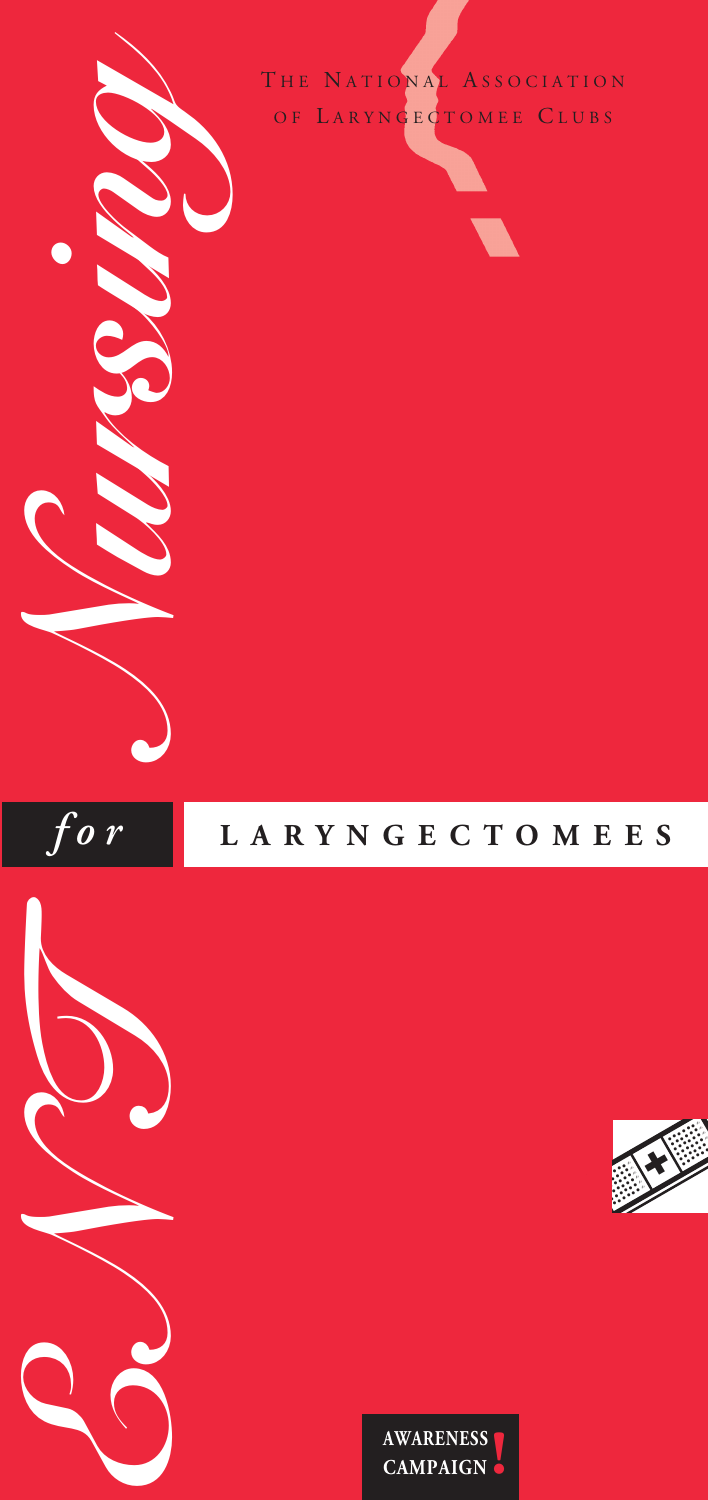

## *f o r* **<sup>L</sup> <sup>A</sup> <sup>R</sup> <sup>Y</sup> <sup>N</sup> <sup>G</sup> <sup>E</sup> <sup>C</sup> <sup>T</sup> <sup>O</sup> <sup>M</sup> <sup>E</sup> <sup>E</sup> <sup>S</sup>**





*EN T*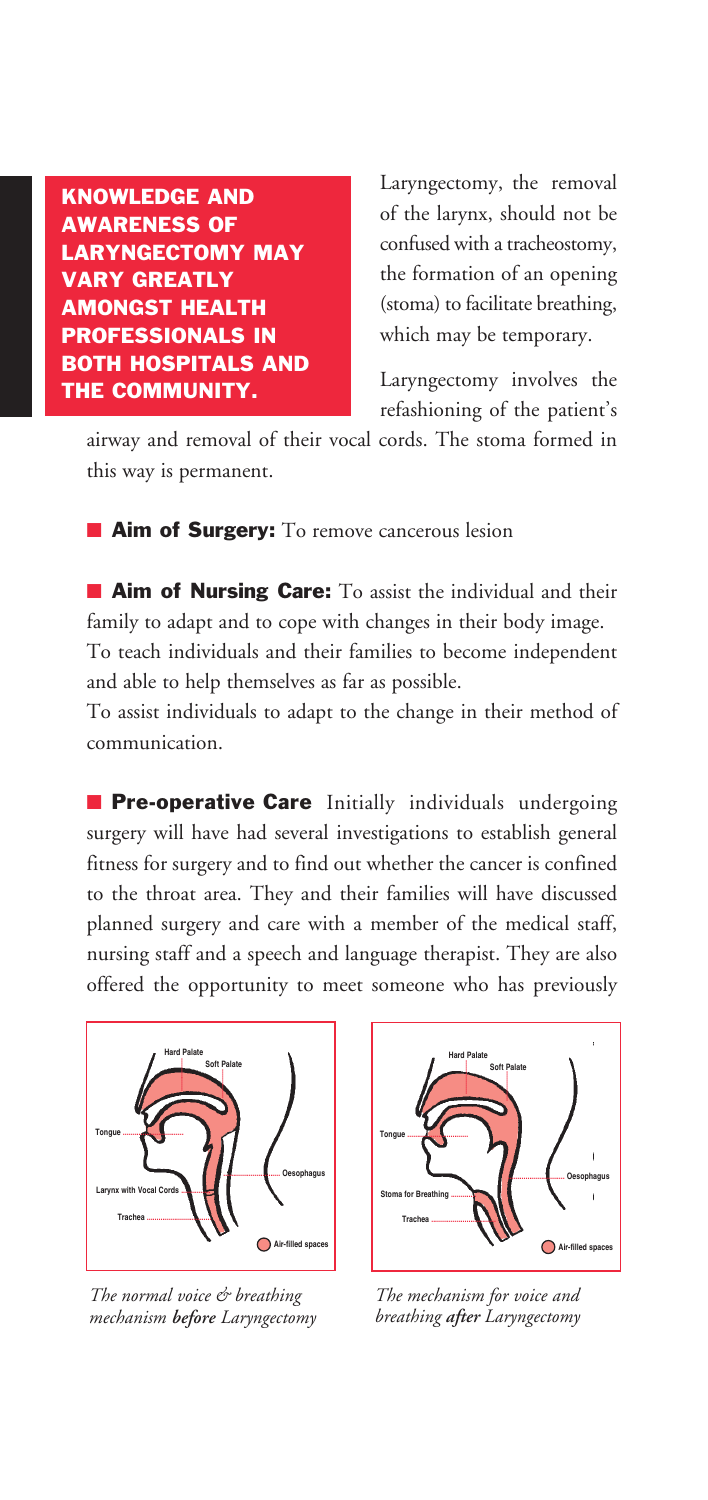**KNOWLEDGE AND AWARENESS OF LARYNGECTOMY MAY VARY GREATLY AMONGST HEALTH PROFESSIONALS IN BOTH HOSPITALS AND THE COMMUNITY.**

Laryngectomy, the removal of the larynx, should not be confused with a tracheostomy, the formation of an opening (stoma) to facilitate breathing, which may be temporary.

Laryngectomy involves the refashioning of the patient's

airway and removal of their vocal cords. The stoma formed in this way is permanent.

**■ Aim of Surgery:** To remove cancerous lesion

**■ Aim of Nursing Care:** To assist the individual and their family to adapt and to cope with changes in their body image. To teach individuals and their families to become independent and able to help themselves as far as possible.

To assist individuals to adapt to the change in their method of communication.

**■ Pre-operative Care** Initially individuals undergoing surgery will have had several investigations to establish general fitness for surgery and to find out whether the cancer is confined to the throat area. They and their families will have discussed planned surgery and care with a member of the medical staff, nursing staff and a speech and language therapist. They are also offered the opportunity to meet someone who has previously



*The normal voice & breathing mechanism before Laryngectomy*



*The mechanism for voice and breathing after Laryngectomy*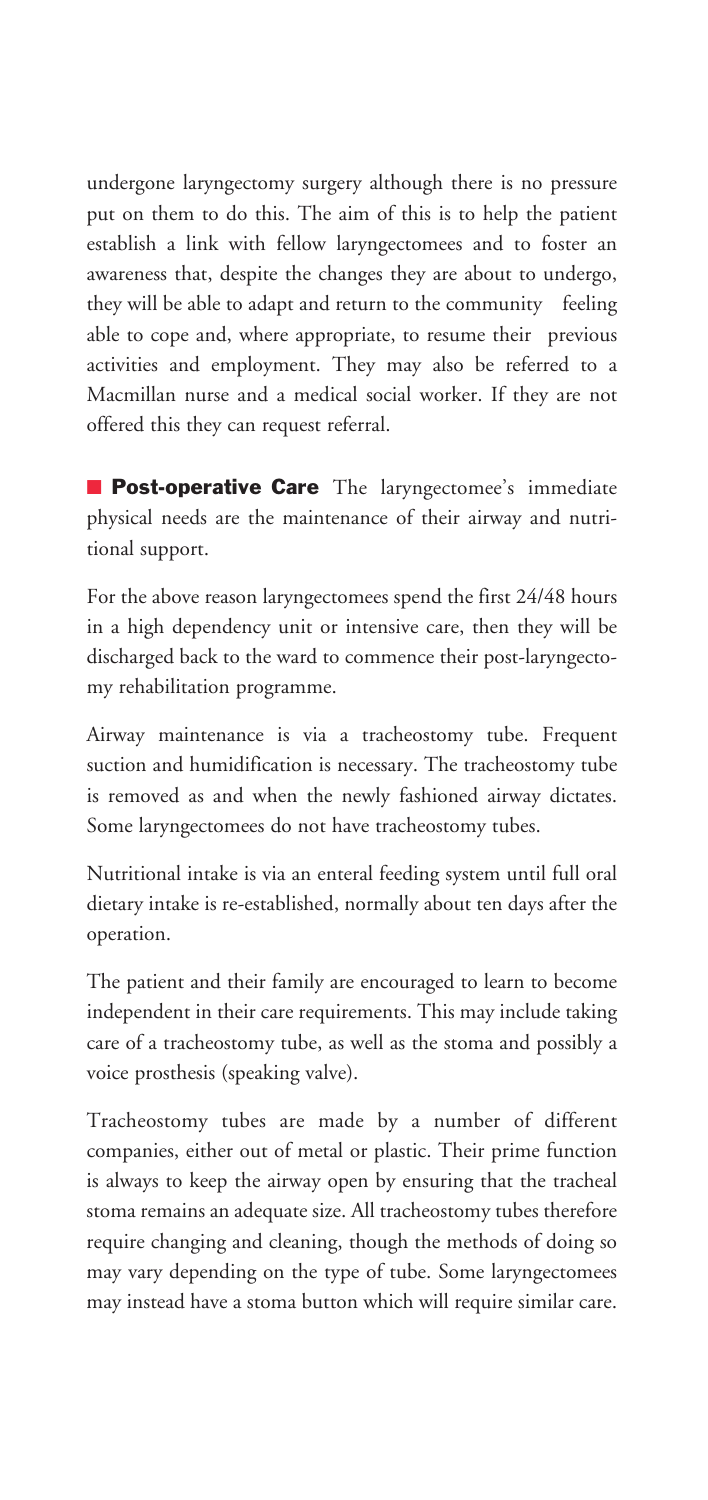undergone laryngectomy surgery although there is no pressure put on them to do this. The aim of this is to help the patient establish a link with fellow laryngectomees and to foster an awareness that, despite the changes they are about to undergo, they will be able to adapt and return to the community feeling able to cope and, where appropriate, to resume their previous activities and employment. They may also be referred to a Macmillan nurse and a medical social worker. If they are not offered this they can request referral.

**■ Post-operative Care** The laryngectomee's immediate physical needs are the maintenance of their airway and nutritional support.

For the above reason laryngectomees spend the first 24/48 hours in a high dependency unit or intensive care, then they will be discharged back to the ward to commence their post-laryngectomy rehabilitation programme.

Airway maintenance is via a tracheostomy tube. Frequent suction and humidification is necessary. The tracheostomy tube is removed as and when the newly fashioned airway dictates. Some laryngectomees do not have tracheostomy tubes.

Nutritional intake is via an enteral feeding system until full oral dietary intake is re-established, normally about ten days after the operation.

The patient and their family are encouraged to learn to become independent in their care requirements. This may include taking care of a tracheostomy tube, as well as the stoma and possibly a voice prosthesis (speaking valve).

Tracheostomy tubes are made by a number of different companies, either out of metal or plastic. Their prime function is always to keep the airway open by ensuring that the tracheal stoma remains an adequate size. All tracheostomy tubes therefore require changing and cleaning, though the methods of doing so may vary depending on the type of tube. Some laryngectomees may instead have a stoma button which will require similar care.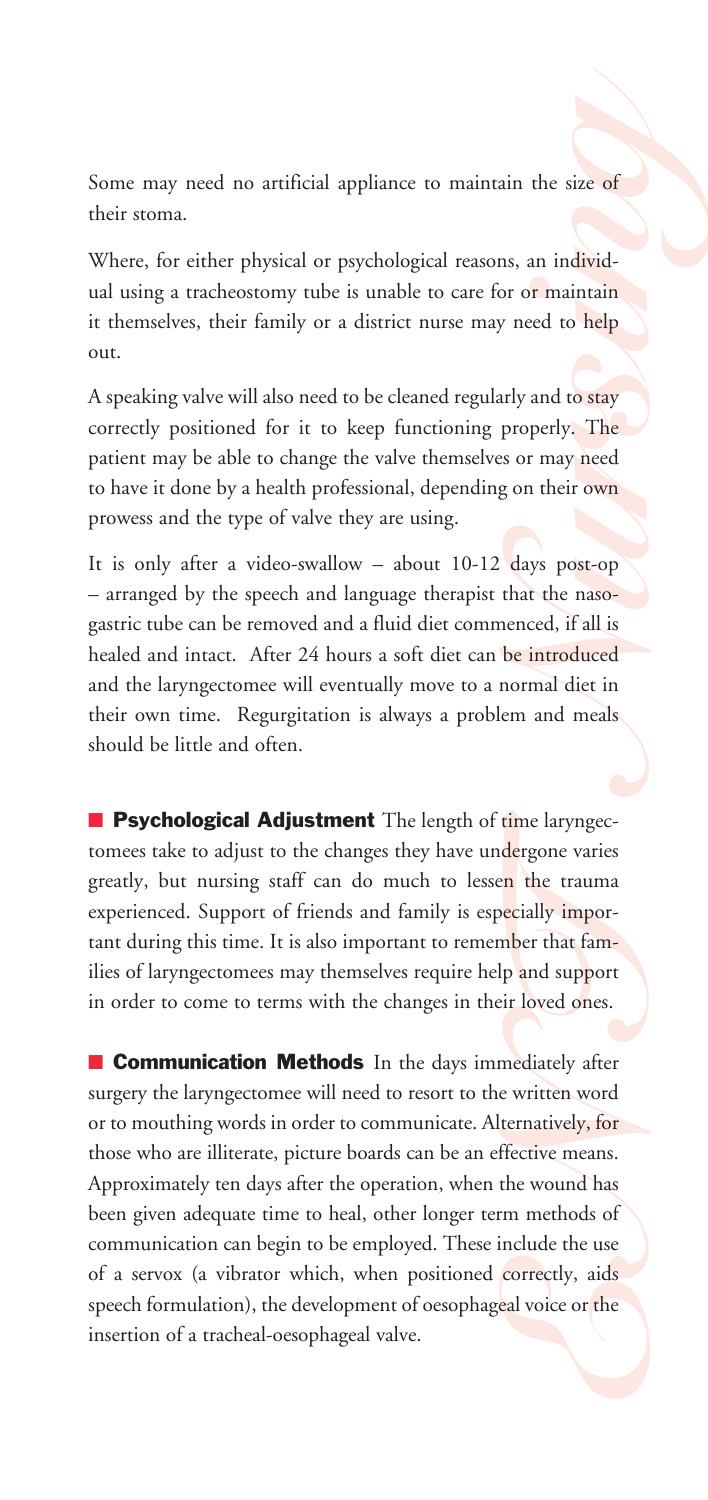their stoma. S o m e m ay need no artificial appliance to maintain the size of **g**<br>either physical or psychological reasons, an individ-

Where, for either physical or psychological reasons, an individual using a tracheostomy tube is unable to care for or maintain it themselves, their family or a district nurse may need to help out.

A speaking valve will also need to be cleaned regularly and to stay correctly positioned for it to keep functioning properly. The patient may be able to change the valve themselves or may need to have it done by a health professional, depending on their own prowess and the type of valve they are using.

Franciscope<br> **Nursin** the size of<br>
Instanting the size of the properly. The<br> **Nursin** and to stay<br>
properly. The<br>
Ens or may need<br>
g on their own<br>
days post-op<br>
that the naso-<br>
the introduced<br>
normal diet in<br>
lem and meals It is only after a video-swallow – about 10-12 days post-op – arranged by the speech and language therapist that the nasogastric tube can be removed and a fluid diet commenced, if all is healed and intact. After 24 hours a soft diet can be introduced and the laryngectomee will eventually move to a normal diet in their own time. Regurgitation is always a problem and meals should be little and often.

■ **Psychological Adjustment** The length of time laryngectomees take to adjust to the changes they have undergone varies greatly, but nursing staff can do much to lessen the trauma experienced. Support of friends and family is especially important during this time. It is also important to remember that families of laryngectomees may themselves require help and support in order to come to terms with the changes in their loved ones.

**EXECUTE:**<br> **ENECES TOMORGIFY:**<br> **ENECES TO PERIMAL PROPERTIONS AND ASSEMBLED AND ASSEMBLED ASSEMBLED AND INTERCITN PROPERTION TO FIND THE PROPERTION AND THE PROPERTION AND NOTE CONTINUES.<br>
THE PROPERTION ASSEMBLED AND THE ■ Communication Methods** In the days immediately after surgery the laryngectomee will need to resort to the written word or to mouthing words in order to communicate. Alternatively, for those who are illiterate, picture boards can be an effective means. Approximately ten days after the operation, when the wound has been given adequate time to heal, other longer term methods of communication can begin to be employed. These include the use of a servox (a vibrator which, when positioned correctly, aids speech formulation), the development of oesophageal voice or the insertion of a tracheal-oesophageal valve.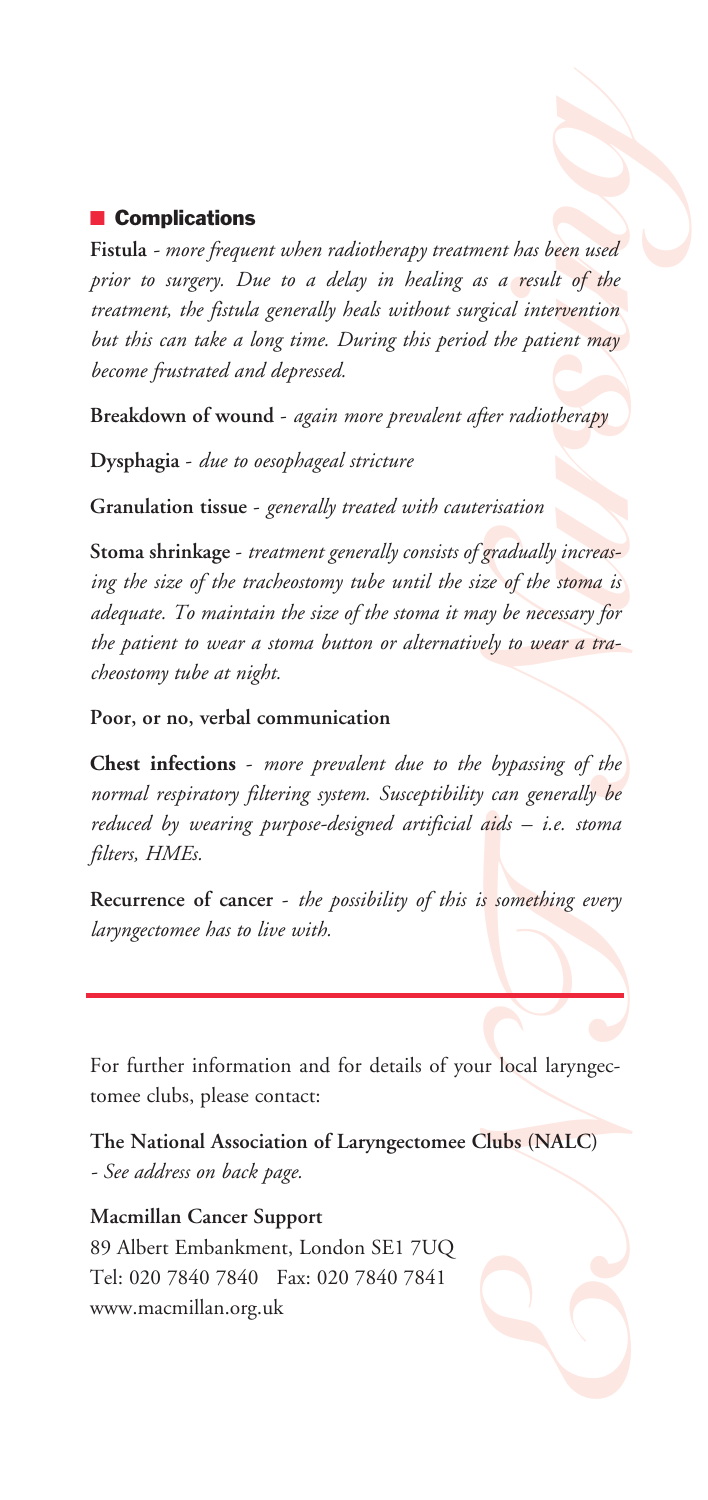## **■ Complications**

**grad Fistula** *- more frequent when radiotherapy treatment has been used prior to surgery. Due to a delay in healing as a result of the treatment, the fistula generally heals without surgical intervention but this can take a long time. During this period the patient may become frustrated and depressed.*

**Breakdown of wound -** *again more prevalent after radiotherapy*

**Dysphagia -** *due to oesophageal stricture*

**Granulation tissue -** *generally treated with cauterisation*

*Nursing that*<br> *Nursing the secult of the*<br> *Nursing the patient may*<br> *Nursing the patient may*<br> *Nurriang the stoma is*<br> *Nursing the stoma is*<br> *Nursing the stoma is*<br> *Nursing of the*<br> *Nursing of the*<br> *Nursing of th* **Stoma shrinkage -** *treatment generally consists of gradually increasing the size of the tracheostomy tube until the size of the stoma is adequate. To maintain the size of the stoma it may be necessary for the patient to wear a stoma button or alternatively to wear a tracheostomy tube at night.*

**Poor, or no, verbal communication**

*Enc. stoma*<br>
Enc. stoma<br>
Enc. stoma<br>
Enc. Stoma<br>
Encyclopedia (NALC)<br>
Enc. (NALC) **Chest infections -** *more prevalent due to the bypassing of the normal respiratory filtering system. Susceptibility can generally be reduced by wearing purpose-designed artificial aids – i.e. stoma filters, HMEs.*

**Recurrence of cancer -** *the possibility of this is something every laryngectomee has to live with.*

**For further information and for details of your local laryngectomee clubs, please contact:**

**The National Association of Laryngectomee Clubs (NALC)** *- See address on back page.*

**Macmillan Cancer Support 89 Albert Embankment, London SE1 7UQ Tel: 020 7840 7840 Fax: 020 7840 7841 www.macmillan.org.uk**